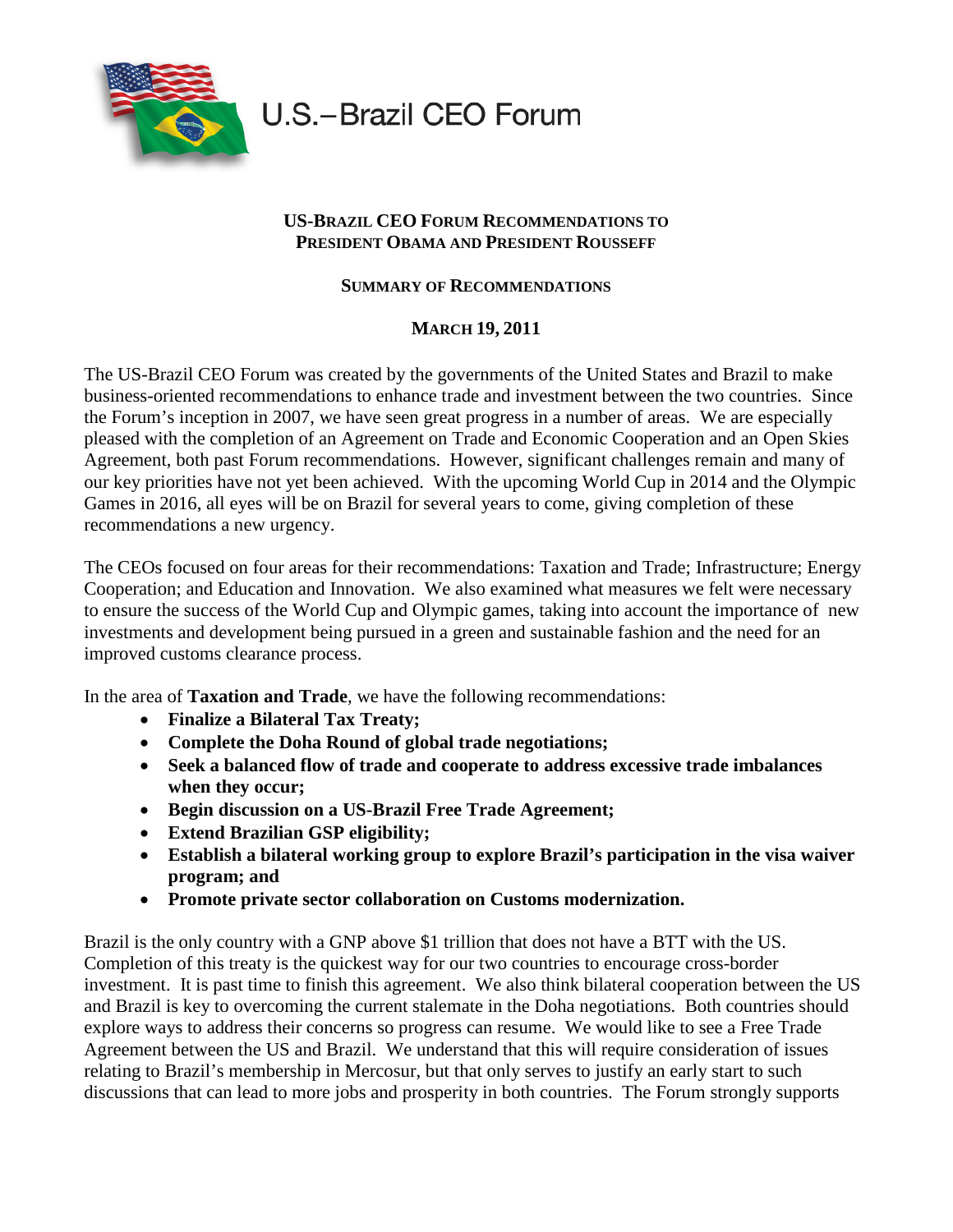

U.S.-Brazil CEO Forum

## **US-BRAZIL CEO FORUM RECOMMENDATIONS TO PRESIDENT OBAMA AND PRESIDENT ROUSSEFF**

## **SUMMARY OF RECOMMENDATIONS**

## **MARCH 19, 2011**

The US-Brazil CEO Forum was created by the governments of the United States and Brazil to make business-oriented recommendations to enhance trade and investment between the two countries. Since the Forum's inception in 2007, we have seen great progress in a number of areas. We are especially pleased with the completion of an Agreement on Trade and Economic Cooperation and an Open Skies Agreement, both past Forum recommendations. However, significant challenges remain and many of our key priorities have not yet been achieved. With the upcoming World Cup in 2014 and the Olympic Games in 2016, all eyes will be on Brazil for several years to come, giving completion of these recommendations a new urgency.

The CEOs focused on four areas for their recommendations: Taxation and Trade; Infrastructure; Energy Cooperation; and Education and Innovation. We also examined what measures we felt were necessary to ensure the success of the World Cup and Olympic games, taking into account the importance of new investments and development being pursued in a green and sustainable fashion and the need for an improved customs clearance process.

In the area of **Taxation and Trade**, we have the following recommendations:

- **Finalize a Bilateral Tax Treaty;**
- **Complete the Doha Round of global trade negotiations;**
- **Seek a balanced flow of trade and cooperate to address excessive trade imbalances when they occur;**
- **Begin discussion on a US-Brazil Free Trade Agreement;**
- **Extend Brazilian GSP eligibility;**
- **Establish a bilateral working group to explore Brazil's participation in the visa waiver program; and**
- **Promote private sector collaboration on Customs modernization.**

Brazil is the only country with a GNP above \$1 trillion that does not have a BTT with the US. Completion of this treaty is the quickest way for our two countries to encourage cross-border investment. It is past time to finish this agreement. We also think bilateral cooperation between the US and Brazil is key to overcoming the current stalemate in the Doha negotiations. Both countries should explore ways to address their concerns so progress can resume. We would like to see a Free Trade Agreement between the US and Brazil. We understand that this will require consideration of issues relating to Brazil's membership in Mercosur, but that only serves to justify an early start to such discussions that can lead to more jobs and prosperity in both countries. The Forum strongly supports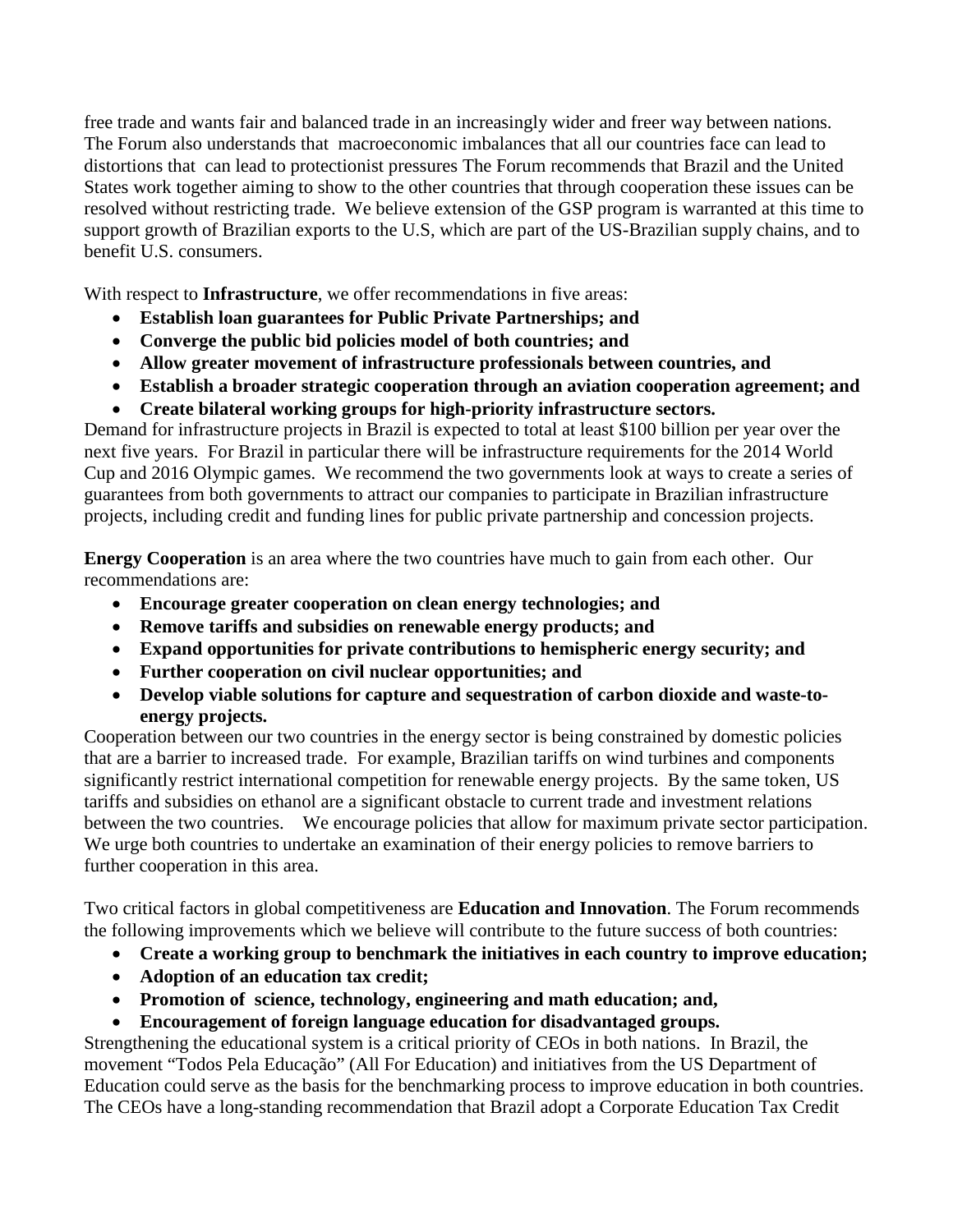free trade and wants fair and balanced trade in an increasingly wider and freer way between nations. The Forum also understands that macroeconomic imbalances that all our countries face can lead to distortions that can lead to protectionist pressures The Forum recommends that Brazil and the United States work together aiming to show to the other countries that through cooperation these issues can be resolved without restricting trade. We believe extension of the GSP program is warranted at this time to support growth of Brazilian exports to the U.S, which are part of the US-Brazilian supply chains, and to benefit U.S. consumers.

With respect to **Infrastructure**, we offer recommendations in five areas:

- **Establish loan guarantees for Public Private Partnerships; and**
- **Converge the public bid policies model of both countries; and**
- **Allow greater movement of infrastructure professionals between countries, and**
- **Establish a broader strategic cooperation through an aviation cooperation agreement; and**
- **Create bilateral working groups for high-priority infrastructure sectors.**

Demand for infrastructure projects in Brazil is expected to total at least \$100 billion per year over the next five years. For Brazil in particular there will be infrastructure requirements for the 2014 World Cup and 2016 Olympic games. We recommend the two governments look at ways to create a series of guarantees from both governments to attract our companies to participate in Brazilian infrastructure projects, including credit and funding lines for public private partnership and concession projects.

**Energy Cooperation** is an area where the two countries have much to gain from each other. Our recommendations are:

- **Encourage greater cooperation on clean energy technologies; and**
- **Remove tariffs and subsidies on renewable energy products; and**
- **Expand opportunities for private contributions to hemispheric energy security; and**
- **Further cooperation on civil nuclear opportunities; and**
- **Develop viable solutions for capture and sequestration of carbon dioxide and waste-toenergy projects.**

Cooperation between our two countries in the energy sector is being constrained by domestic policies that are a barrier to increased trade. For example, Brazilian tariffs on wind turbines and components significantly restrict international competition for renewable energy projects. By the same token, US tariffs and subsidies on ethanol are a significant obstacle to current trade and investment relations between the two countries. We encourage policies that allow for maximum private sector participation. We urge both countries to undertake an examination of their energy policies to remove barriers to further cooperation in this area.

Two critical factors in global competitiveness are **Education and Innovation**. The Forum recommends the following improvements which we believe will contribute to the future success of both countries:

- **Create a working group to benchmark the initiatives in each country to improve education;**
- **Adoption of an education tax credit;**
- **Promotion of science, technology, engineering and math education; and,**
- **Encouragement of foreign language education for disadvantaged groups.**

Strengthening the educational system is a critical priority of CEOs in both nations. In Brazil, the movement "Todos Pela Educação" (All For Education) and initiatives from the US Department of Education could serve as the basis for the benchmarking process to improve education in both countries. The CEOs have a long-standing recommendation that Brazil adopt a Corporate Education Tax Credit